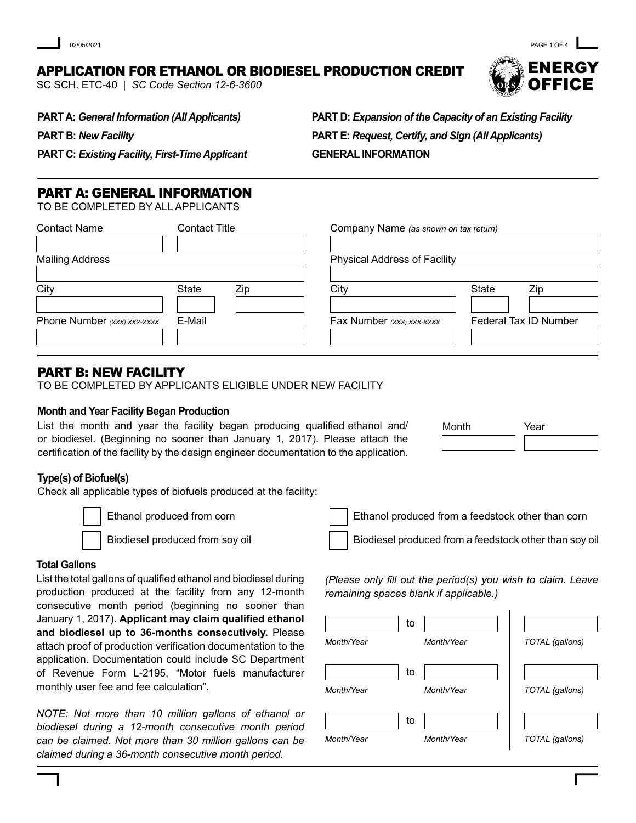# APPLICATION FOR ETHANOL OR BIODIESEL PRODUCTION CREDIT

SC SCH. ETC-40 | *SC Code Section 12-6-3600*

ENERGY **OFFICE** PAGE 1 OF 4

**PART A:** *General Information (All Applicants)*

**PART B:** *New Facility* 

**PART D:** *Expansion of the Capacity of an Existing Facility*  **PART E:** *Request, Certify, and Sign (All Applicants)* **GENERAL INFORMATION**

**PART C:** *Existing Facility, First-Time Applicant*

# PART A: GENERAL INFORMATION

TO BE COMPLETED BY ALL APPLICANTS

| <b>Contact Name</b>         | <b>Contact Title</b> |                                     | Company Name (as shown on tax return) |  |  |
|-----------------------------|----------------------|-------------------------------------|---------------------------------------|--|--|
| <b>Mailing Address</b>      |                      | <b>Physical Address of Facility</b> |                                       |  |  |
| City                        | <b>State</b><br>Zip  | City                                | <b>State</b><br>Zip                   |  |  |
| Phone Number (xxx) xxx-xxxx | E-Mail               | Fax Number (xxx) xxx-xxxx           | Federal Tax ID Number                 |  |  |
|                             |                      |                                     |                                       |  |  |

# PART B: NEW FACILITY

TO BE COMPLETED BY APPLICANTS ELIGIBLE UNDER NEW FACILITY

### **Month and Year Facility Began Production**

List the month and year the facility began producing qualified ethanol and/ or biodiesel. (Beginning no sooner than January 1, 2017). Please attach the certification of the facility by the design engineer documentation to the application.

| Month | Year |  |
|-------|------|--|
|       |      |  |

# **Type(s) of Biofuel(s)**

Check all applicable types of biofuels produced at the facility:

Ethanol produced from corn

Biodiesel produced from soy oil

Ethanol produced from a feedstock other than corn

Biodiesel produced from a feedstock other than soy oil

### **Total Gallons**

List the total gallons of qualified ethanol and biodiesel during production produced at the facility from any 12-month consecutive month period (beginning no sooner than January 1, 2017). **Applicant may claim qualified ethanol and biodiesel up to 36-months consecutively.** Please attach proof of production verification documentation to the application. Documentation could include SC Department of Revenue Form L-2195, "Motor fuels manufacturer monthly user fee and fee calculation".

*NOTE: Not more than 10 million gallons of ethanol or biodiesel during a 12-month consecutive month period can be claimed. Not more than 30 million gallons can be claimed during a 36-month consecutive month period.*

to the fill *(Please only fill out the period(s) you wish to claim. Leave remaining spaces blank if applicable.)*

|            | το |            |                 |
|------------|----|------------|-----------------|
| Month/Year |    | Month/Year | TOTAL (gallons) |
|            | to |            |                 |
| Month/Year |    | Month/Year | TOTAL (gallons) |
|            | to |            |                 |
| Month/Year |    | Month/Year | TOTAL (gallons) |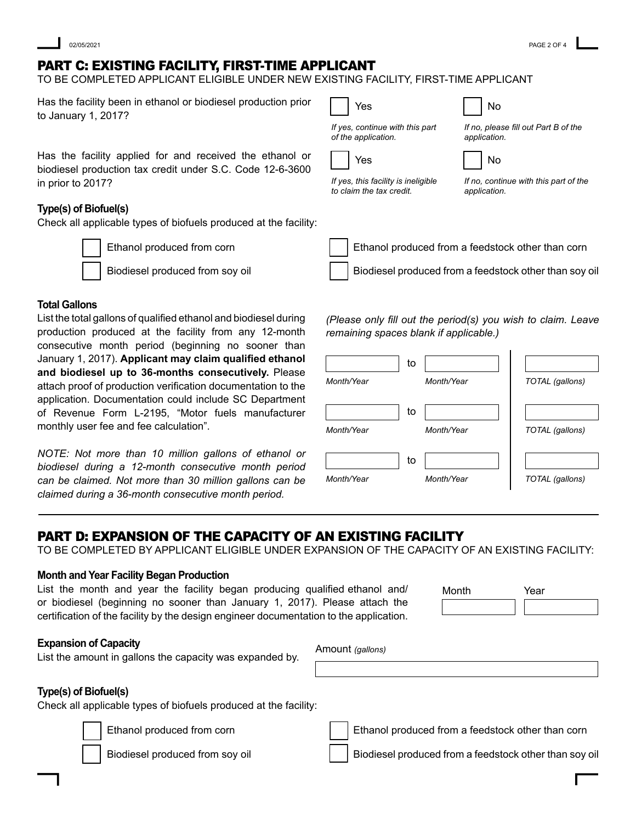# PART C: EXISTING FACILITY, FIRST-TIME APPLICANT

TO BE COMPLETED APPLICANT ELIGIBLE UNDER NEW EXISTING FACILITY, FIRST-TIME APPLICANT

| Has the facility been in ethanol or biodiesel production prior<br>to January 1, 2017?                                                                                                                   | Yes                                                             | No                                                           |
|---------------------------------------------------------------------------------------------------------------------------------------------------------------------------------------------------------|-----------------------------------------------------------------|--------------------------------------------------------------|
|                                                                                                                                                                                                         | If yes, continue with this part<br>of the application.          | If no, please fill out Part B of the<br>application.         |
| Has the facility applied for and received the ethanol or<br>biodiesel production tax credit under S.C. Code 12-6-3600                                                                                   | Yes                                                             | No                                                           |
| in prior to 2017?                                                                                                                                                                                       | If yes, this facility is ineligible<br>to claim the tax credit. | If no, continue with this part of the<br>application.        |
| Type(s) of Biofuel(s)<br>Check all applicable types of biofuels produced at the facility:                                                                                                               |                                                                 |                                                              |
| Ethanol produced from corn                                                                                                                                                                              |                                                                 | Ethanol produced from a feedstock other than corn            |
| Biodiesel produced from soy oil                                                                                                                                                                         |                                                                 | Biodiesel produced from a feedstock other than soy oil       |
| <b>Total Gallons</b><br>List the total gallons of qualified ethanol and biodiesel during<br>production produced at the facility from any 12-month<br>consecutive month period (beginning no sooner than | remaining spaces blank if applicable.)                          | (Please only fill out the period(s) you wish to claim. Leave |

| Month/Year | to | Month/Year | TOTAL (gallons) |
|------------|----|------------|-----------------|
| Month/Year | to | Month/Year | TOTAL (gallons) |
| Month/Year | to | Month/Year | TOTAL (gallons) |

# PART D: EXPANSION OF THE CAPACITY OF AN EXISTING FACILITY

TO BE COMPLETED BY APPLICANT ELIGIBLE UNDER EXPANSION OF THE CAPACITY OF AN EXISTING FACILITY:

#### **Month and Year Facility Began Production**

monthly user fee and fee calculation".

List the month and year the facility began producing qualified ethanol and/ or biodiesel (beginning no sooner than January 1, 2017). Please attach the certification of the facility by the design engineer documentation to the application.

| Month | Year |
|-------|------|
|       |      |

#### **Expansion of Capacity**

List the amount in gallons the capacity was expanded by.

January 1, 2017). **Applicant may claim qualified ethanol and biodiesel up to 36-months consecutively.** Please attach proof of production verification documentation to the application. Documentation could include SC Department of Revenue Form L-2195, "Motor fuels manufacturer

*NOTE: Not more than 10 million gallons of ethanol or biodiesel during a 12-month consecutive month period can be claimed. Not more than 30 million gallons can be claimed during a 36-month consecutive month period.*

Amount *(gallons)*

#### **Type(s) of Biofuel(s)**

Check all applicable types of biofuels produced at the facility:

Ethanol produced from corn

Biodiesel produced from soy oil

Ethanol produced from a feedstock other than corn

Biodiesel produced from a feedstock other than soy oil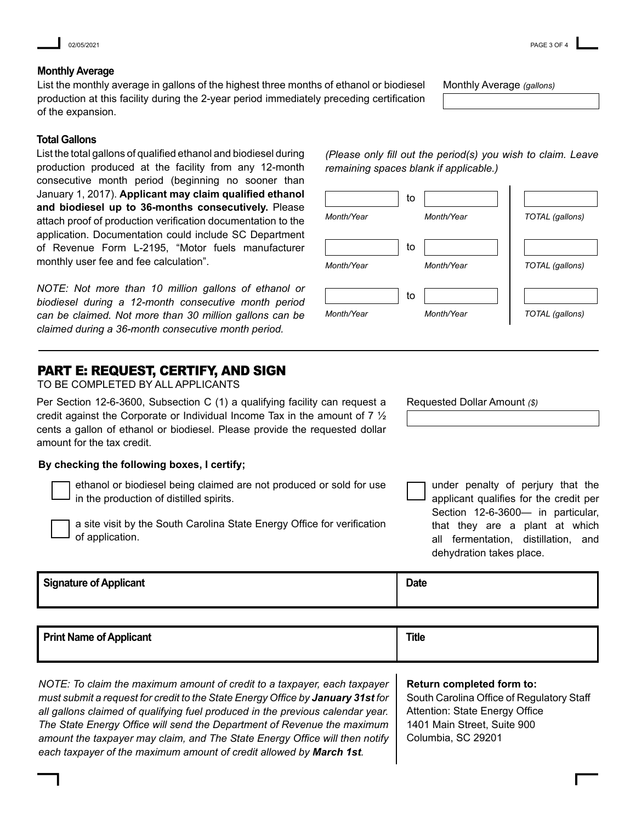02/05/2021 PAGE 3 OF 4

#### **Monthly Average**

List the monthly average in gallons of the highest three months of ethanol or biodiesel production at this facility during the 2-year period immediately preceding certification of the expansion.

#### **Total Gallons**

List the total gallons of qualified ethanol and biodiesel during production produced at the facility from any 12-month consecutive month period (beginning no sooner than January 1, 2017). **Applicant may claim qualified ethanol and biodiesel up to 36-months consecutively.** Please attach proof of production verification documentation to the application. Documentation could include SC Department of Revenue Form L-2195, "Motor fuels manufacturer monthly user fee and fee calculation".

*NOTE: Not more than 10 million gallons of ethanol or biodiesel during a 12-month consecutive month period can be claimed. Not more than 30 million gallons can be claimed during a 36-month consecutive month period.*

## PART E: REQUEST, CERTIFY, AND SIGN

TO BE COMPLETED BY ALL APPLICANTS

Per Section 12-6-3600, Subsection C (1) a qualifying facility can request a credit against the Corporate or Individual Income Tax in the amount of 7 ½ cents a gallon of ethanol or biodiesel. Please provide the requested dollar amount for the tax credit.

#### **By checking the following boxes, I certify;**

ethanol or biodiesel being claimed are not produced or sold for use in the production of distilled spirits.

a site visit by the South Carolina State Energy Office for verification of application.

Requested Dollar Amount *(\$)*

under penalty of perjury that the applicant qualifies for the credit per Section 12-6-3600— in particular, that they are a plant at which all fermentation, distillation, and dehydration takes place.

**Signature of Applicant** 

| <b>Print Name of Applicant</b> | <b>Title</b> |  |  |
|--------------------------------|--------------|--|--|
|                                |              |  |  |

*NOTE: To claim the maximum amount of credit to a taxpayer, each taxpayer must submit a request for credit to the State Energy Office by January 31st for all gallons claimed of qualifying fuel produced in the previous calendar year. The State Energy Office will send the Department of Revenue the maximum amount the taxpayer may claim, and The State Energy Office will then notify each taxpayer of the maximum amount of credit allowed by March 1st.* 

**Return completed form to:**

**Date**

South Carolina Office of Regulatory Staff Attention: State Energy Office 1401 Main Street, Suite 900 Columbia, SC 29201

*Month/Year TOTAL (gallons)*  $\top$  to  $\Box$ *remaining spaces blank if applicable.)*

*(Please only fill out the period(s) you wish to claim. Leave* 

| Month/Year |    | Month/Year | TOTAL (gallons) |
|------------|----|------------|-----------------|
|            | to |            |                 |
| Month/Year |    | Month/Year | TOTAL (gallons) |
|            | to |            |                 |
| Month/Year |    | Month/Year | TOTAL (gallons) |

Monthly Average *(gallons)*